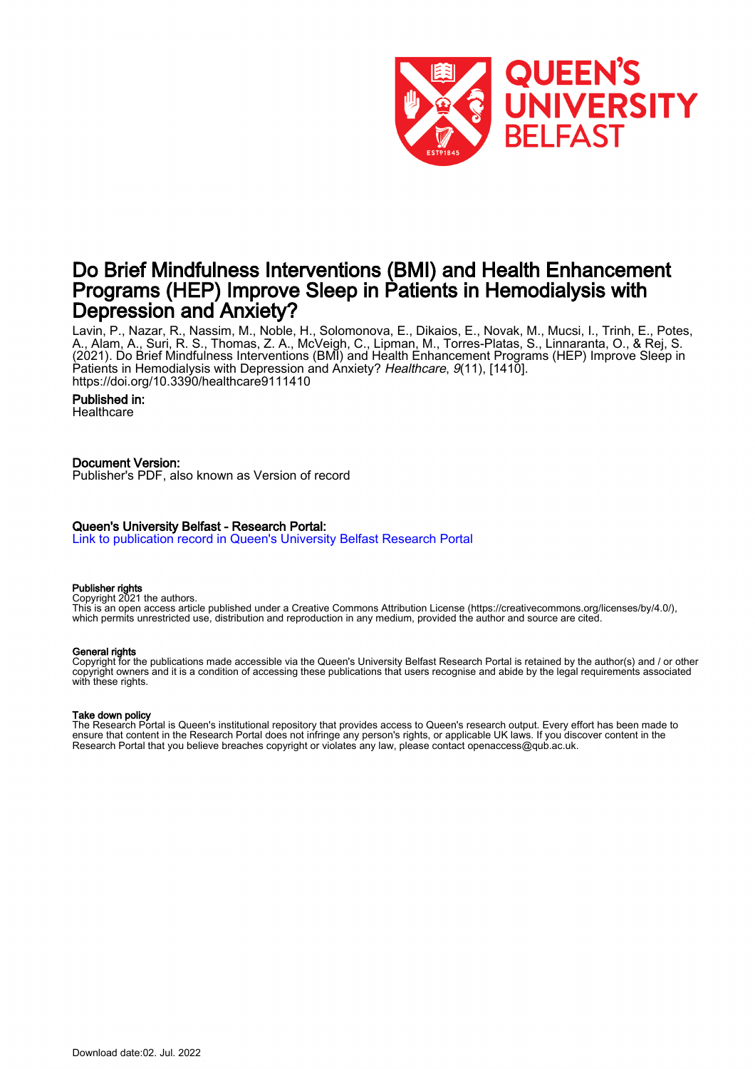

## Do Brief Mindfulness Interventions (BMI) and Health Enhancement Programs (HEP) Improve Sleep in Patients in Hemodialysis with Depression and Anxiety?

Lavin, P., Nazar, R., Nassim, M., Noble, H., Solomonova, E., Dikaios, E., Novak, M., Mucsi, I., Trinh, E., Potes, A., Alam, A., Suri, R. S., Thomas, Z. A., McVeigh, C., Lipman, M., Torres-Platas, S., Linnaranta, O., & Rej, S. (2021). Do Brief Mindfulness Interventions (BMI) and Health Enhancement Programs (HEP) Improve Sleep in Patients in Hemodialysis with Depression and Anxiety? Healthcare, 9(11), [1410]. <https://doi.org/10.3390/healthcare9111410>

#### Published in:

**Healthcare** 

## Document Version:

Publisher's PDF, also known as Version of record

## Queen's University Belfast - Research Portal:

[Link to publication record in Queen's University Belfast Research Portal](https://pure.qub.ac.uk/en/publications/cfb0bbd8-b1ae-42e2-9a89-5f87dc698a1f)

#### Publisher rights

Copyright 2021 the authors.

This is an open access article published under a Creative Commons Attribution License (https://creativecommons.org/licenses/by/4.0/), which permits unrestricted use, distribution and reproduction in any medium, provided the author and source are cited.

#### General rights

Copyright for the publications made accessible via the Queen's University Belfast Research Portal is retained by the author(s) and / or other copyright owners and it is a condition of accessing these publications that users recognise and abide by the legal requirements associated with these rights.

## Take down policy

The Research Portal is Queen's institutional repository that provides access to Queen's research output. Every effort has been made to ensure that content in the Research Portal does not infringe any person's rights, or applicable UK laws. If you discover content in the Research Portal that you believe breaches copyright or violates any law, please contact openaccess@qub.ac.uk.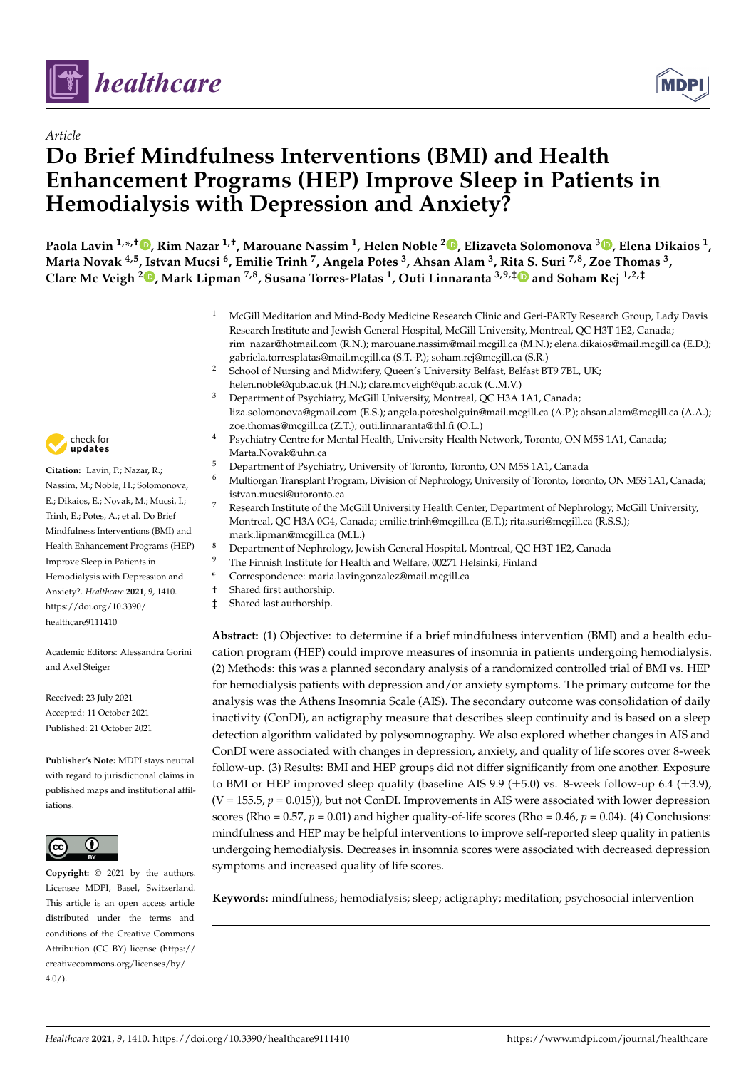



# *Article* **Do Brief Mindfulness Interventions (BMI) and Health Enhancement Programs (HEP) Improve Sleep in Patients in Hemodialysis with Depression and Anxiety?**

Paola Lavin <sup>1[,](https://orcid.org/0000-0002-5190-8399)</sup>\*<sup>,†</sup>®, Rim Nazar <sup>1,†</sup>, Marouane Nassim <sup>1</sup>, Helen Noble <sup>2</sup>®, Elizaveta Solomonova <sup>[3](https://orcid.org/0000-0002-3733-8676)</sup>®, Elena Dikaios <sup>1</sup>, Marta Novak <sup>4,5</sup>, Istvan Mucsi <sup>6</sup>, Emilie Trinh <sup>7</sup>, Angela Potes <sup>3</sup>, Ahsan Alam <sup>3</sup>, Ri[ta S](https://orcid.org/0000-0002-0383-7215). Suri <sup>7,8</sup>, Zoe Thomas <sup>3</sup>, **Clare Mc Veigh <sup>2</sup> [,](https://orcid.org/0000-0001-9691-6766) Mark Lipman 7,8, Susana Torres-Platas <sup>1</sup> , Outi Linnaranta 3,9,‡ and Soham Rej 1,2,‡**

- <sup>1</sup> McGill Meditation and Mind-Body Medicine Research Clinic and Geri-PARTy Research Group, Lady Davis Research Institute and Jewish General Hospital, McGill University, Montreal, QC H3T 1E2, Canada; rim\_nazar@hotmail.com (R.N.); marouane.nassim@mail.mcgill.ca (M.N.); elena.dikaios@mail.mcgill.ca (E.D.); gabriela.torresplatas@mail.mcgill.ca (S.T.-P.); soham.rej@mcgill.ca (S.R.)
- <sup>2</sup> School of Nursing and Midwifery, Queen's University Belfast, Belfast BT9 7BL, UK; helen.noble@qub.ac.uk (H.N.); clare.mcveigh@qub.ac.uk (C.M.V.)
- <sup>3</sup> Department of Psychiatry, McGill University, Montreal, QC H3A 1A1, Canada; liza.solomonova@gmail.com (E.S.); angela.potesholguin@mail.mcgill.ca (A.P.); ahsan.alam@mcgill.ca (A.A.); zoe.thomas@mcgill.ca (Z.T.); outi.linnaranta@thl.fi (O.L.)
- Psychiatry Centre for Mental Health, University Health Network, Toronto, ON M5S 1A1, Canada; Marta.Novak@uhn.ca
- <sup>5</sup> Department of Psychiatry, University of Toronto, Toronto, ON M5S 1A1, Canada<br><sup>6</sup> Meltianon Transplant Program Division of Nephralogy University of Tanata Targ
- <sup>6</sup> Multiorgan Transplant Program, Division of Nephrology, University of Toronto, Toronto, ON M5S 1A1, Canada; istvan.mucsi@utoronto.ca
- <sup>7</sup> Research Institute of the McGill University Health Center, Department of Nephrology, McGill University, Montreal, QC H3A 0G4, Canada; emilie.trinh@mcgill.ca (E.T.); rita.suri@mcgill.ca (R.S.S.); mark.lipman@mcgill.ca (M.L.)
- <sup>8</sup> Department of Nephrology, Jewish General Hospital, Montreal, QC H3T 1E2, Canada
- <sup>9</sup> The Finnish Institute for Health and Welfare, 00271 Helsinki, Finland
- **\*** Correspondence: maria.lavingonzalez@mail.mcgill.ca
- † Shared first authorship.
- ‡ Shared last authorship.

**Abstract:** (1) Objective: to determine if a brief mindfulness intervention (BMI) and a health education program (HEP) could improve measures of insomnia in patients undergoing hemodialysis. (2) Methods: this was a planned secondary analysis of a randomized controlled trial of BMI vs. HEP for hemodialysis patients with depression and/or anxiety symptoms. The primary outcome for the analysis was the Athens Insomnia Scale (AIS). The secondary outcome was consolidation of daily inactivity (ConDI), an actigraphy measure that describes sleep continuity and is based on a sleep detection algorithm validated by polysomnography. We also explored whether changes in AIS and ConDI were associated with changes in depression, anxiety, and quality of life scores over 8-week follow-up. (3) Results: BMI and HEP groups did not differ significantly from one another. Exposure to BMI or HEP improved sleep quality (baseline AIS 9.9 ( $\pm$ 5.0) vs. 8-week follow-up 6.4 ( $\pm$ 3.9),  $(V = 155.5, p = 0.015)$ ), but not ConDI. Improvements in AIS were associated with lower depression scores (Rho =  $0.57$ ,  $p = 0.01$ ) and higher quality-of-life scores (Rho =  $0.46$ ,  $p = 0.04$ ). (4) Conclusions: mindfulness and HEP may be helpful interventions to improve self-reported sleep quality in patients undergoing hemodialysis. Decreases in insomnia scores were associated with decreased depression symptoms and increased quality of life scores.

**Keywords:** mindfulness; hemodialysis; sleep; actigraphy; meditation; psychosocial intervention



**Citation:** Lavin, P.; Nazar, R.; Nassim, M.; Noble, H.; Solomonova, E.; Dikaios, E.; Novak, M.; Mucsi, I.; Trinh, E.; Potes, A.; et al. Do Brief Mindfulness Interventions (BMI) and Health Enhancement Programs (HEP) Improve Sleep in Patients in Hemodialysis with Depression and Anxiety?. *Healthcare* **2021**, *9*, 1410. [https://doi.org/10.3390/](https://doi.org/10.3390/healthcare9111410) [healthcare9111410](https://doi.org/10.3390/healthcare9111410)

Academic Editors: Alessandra Gorini and Axel Steiger

Received: 23 July 2021 Accepted: 11 October 2021 Published: 21 October 2021

**Publisher's Note:** MDPI stays neutral with regard to jurisdictional claims in published maps and institutional affiliations.



**Copyright:** © 2021 by the authors. Licensee MDPI, Basel, Switzerland. This article is an open access article distributed under the terms and conditions of the Creative Commons Attribution (CC BY) license (https:/[/](https://creativecommons.org/licenses/by/4.0/) [creativecommons.org/licenses/by/](https://creativecommons.org/licenses/by/4.0/)  $4.0/$ ).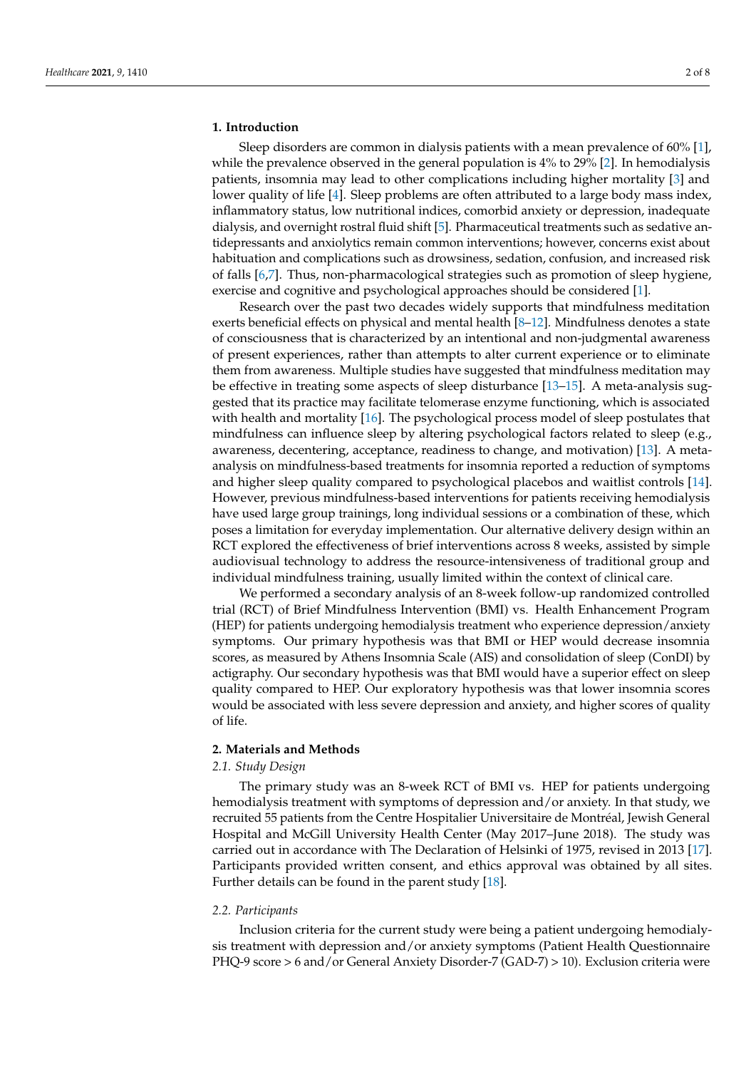#### **1. Introduction**

Sleep disorders are common in dialysis patients with a mean prevalence of 60% [\[1\]](#page-7-0), while the prevalence observed in the general population is 4% to 29% [\[2\]](#page-7-1). In hemodialysis patients, insomnia may lead to other complications including higher mortality [\[3\]](#page-7-2) and lower quality of life [\[4\]](#page-7-3). Sleep problems are often attributed to a large body mass index, inflammatory status, low nutritional indices, comorbid anxiety or depression, inadequate dialysis, and overnight rostral fluid shift [\[5\]](#page-7-4). Pharmaceutical treatments such as sedative antidepressants and anxiolytics remain common interventions; however, concerns exist about habituation and complications such as drowsiness, sedation, confusion, and increased risk of falls [\[6](#page-7-5)[,7\]](#page-7-6). Thus, non-pharmacological strategies such as promotion of sleep hygiene, exercise and cognitive and psychological approaches should be considered [\[1\]](#page-7-0).

Research over the past two decades widely supports that mindfulness meditation exerts beneficial effects on physical and mental health [\[8](#page-7-7)[–12\]](#page-7-8). Mindfulness denotes a state of consciousness that is characterized by an intentional and non-judgmental awareness of present experiences, rather than attempts to alter current experience or to eliminate them from awareness. Multiple studies have suggested that mindfulness meditation may be effective in treating some aspects of sleep disturbance [\[13](#page-7-9)[–15\]](#page-8-0). A meta-analysis suggested that its practice may facilitate telomerase enzyme functioning, which is associated with health and mortality [\[16\]](#page-8-1). The psychological process model of sleep postulates that mindfulness can influence sleep by altering psychological factors related to sleep (e.g., awareness, decentering, acceptance, readiness to change, and motivation) [\[13\]](#page-7-9). A metaanalysis on mindfulness-based treatments for insomnia reported a reduction of symptoms and higher sleep quality compared to psychological placebos and waitlist controls [\[14\]](#page-8-2). However, previous mindfulness-based interventions for patients receiving hemodialysis have used large group trainings, long individual sessions or a combination of these, which poses a limitation for everyday implementation. Our alternative delivery design within an RCT explored the effectiveness of brief interventions across 8 weeks, assisted by simple audiovisual technology to address the resource-intensiveness of traditional group and individual mindfulness training, usually limited within the context of clinical care.

We performed a secondary analysis of an 8-week follow-up randomized controlled trial (RCT) of Brief Mindfulness Intervention (BMI) vs. Health Enhancement Program (HEP) for patients undergoing hemodialysis treatment who experience depression/anxiety symptoms. Our primary hypothesis was that BMI or HEP would decrease insomnia scores, as measured by Athens Insomnia Scale (AIS) and consolidation of sleep (ConDI) by actigraphy. Our secondary hypothesis was that BMI would have a superior effect on sleep quality compared to HEP. Our exploratory hypothesis was that lower insomnia scores would be associated with less severe depression and anxiety, and higher scores of quality of life.

## **2. Materials and Methods**

#### *2.1. Study Design*

The primary study was an 8-week RCT of BMI vs. HEP for patients undergoing hemodialysis treatment with symptoms of depression and/or anxiety. In that study, we recruited 55 patients from the Centre Hospitalier Universitaire de Montréal, Jewish General Hospital and McGill University Health Center (May 2017–June 2018). The study was carried out in accordance with The Declaration of Helsinki of 1975, revised in 2013 [\[17\]](#page-8-3). Participants provided written consent, and ethics approval was obtained by all sites. Further details can be found in the parent study [\[18\]](#page-8-4).

#### *2.2. Participants*

Inclusion criteria for the current study were being a patient undergoing hemodialysis treatment with depression and/or anxiety symptoms (Patient Health Questionnaire PHQ-9 score > 6 and/or General Anxiety Disorder-7 (GAD-7) > 10). Exclusion criteria were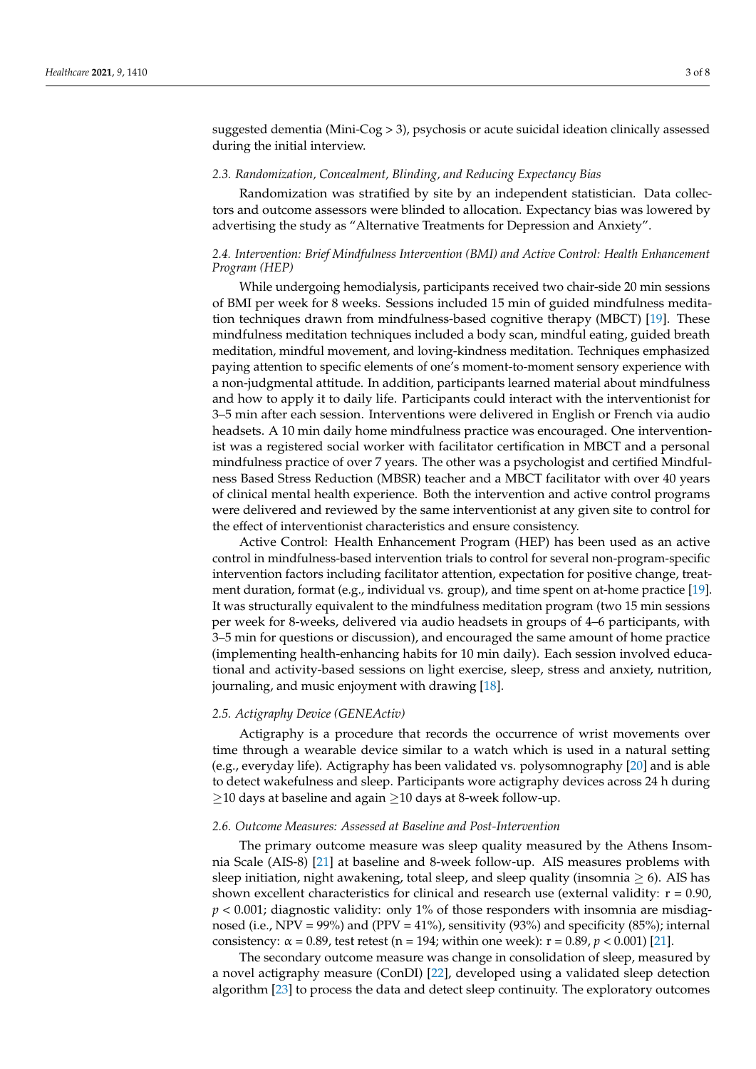suggested dementia (Mini-Cog > 3), psychosis or acute suicidal ideation clinically assessed during the initial interview.

#### *2.3. Randomization, Concealment, Blinding, and Reducing Expectancy Bias*

Randomization was stratified by site by an independent statistician. Data collectors and outcome assessors were blinded to allocation. Expectancy bias was lowered by advertising the study as "Alternative Treatments for Depression and Anxiety".

## *2.4. Intervention: Brief Mindfulness Intervention (BMI) and Active Control: Health Enhancement Program (HEP)*

While undergoing hemodialysis, participants received two chair-side 20 min sessions of BMI per week for 8 weeks. Sessions included 15 min of guided mindfulness meditation techniques drawn from mindfulness-based cognitive therapy (MBCT) [\[19\]](#page-8-5). These mindfulness meditation techniques included a body scan, mindful eating, guided breath meditation, mindful movement, and loving-kindness meditation. Techniques emphasized paying attention to specific elements of one's moment-to-moment sensory experience with a non-judgmental attitude. In addition, participants learned material about mindfulness and how to apply it to daily life. Participants could interact with the interventionist for 3–5 min after each session. Interventions were delivered in English or French via audio headsets. A 10 min daily home mindfulness practice was encouraged. One interventionist was a registered social worker with facilitator certification in MBCT and a personal mindfulness practice of over 7 years. The other was a psychologist and certified Mindfulness Based Stress Reduction (MBSR) teacher and a MBCT facilitator with over 40 years of clinical mental health experience. Both the intervention and active control programs were delivered and reviewed by the same interventionist at any given site to control for the effect of interventionist characteristics and ensure consistency.

Active Control: Health Enhancement Program (HEP) has been used as an active control in mindfulness-based intervention trials to control for several non-program-specific intervention factors including facilitator attention, expectation for positive change, treatment duration, format (e.g., individual vs. group), and time spent on at-home practice [\[19\]](#page-8-5). It was structurally equivalent to the mindfulness meditation program (two 15 min sessions per week for 8-weeks, delivered via audio headsets in groups of 4–6 participants, with 3–5 min for questions or discussion), and encouraged the same amount of home practice (implementing health-enhancing habits for 10 min daily). Each session involved educational and activity-based sessions on light exercise, sleep, stress and anxiety, nutrition, journaling, and music enjoyment with drawing [\[18\]](#page-8-4).

#### *2.5. Actigraphy Device (GENEActiv)*

Actigraphy is a procedure that records the occurrence of wrist movements over time through a wearable device similar to a watch which is used in a natural setting (e.g., everyday life). Actigraphy has been validated vs. polysomnography [\[20\]](#page-8-6) and is able to detect wakefulness and sleep. Participants wore actigraphy devices across 24 h during  $\geq$ 10 days at baseline and again  $\geq$ 10 days at 8-week follow-up.

#### *2.6. Outcome Measures: Assessed at Baseline and Post-Intervention*

The primary outcome measure was sleep quality measured by the Athens Insomnia Scale (AIS-8) [\[21\]](#page-8-7) at baseline and 8-week follow-up. AIS measures problems with sleep initiation, night awakening, total sleep, and sleep quality (insomnia  $\geq$  6). AIS has shown excellent characteristics for clinical and research use (external validity:  $r = 0.90$ ,  $p < 0.001$ ; diagnostic validity: only 1% of those responders with insomnia are misdiagnosed (i.e., NPV = 99%) and (PPV = 41%), sensitivity (93%) and specificity (85%); internal consistency:  $\alpha$  = 0.89, test retest (n = 194; within one week): r = 0.89, *p* < 0.001) [\[21\]](#page-8-7).

The secondary outcome measure was change in consolidation of sleep, measured by a novel actigraphy measure (ConDI) [\[22\]](#page-8-8), developed using a validated sleep detection algorithm [\[23\]](#page-8-9) to process the data and detect sleep continuity. The exploratory outcomes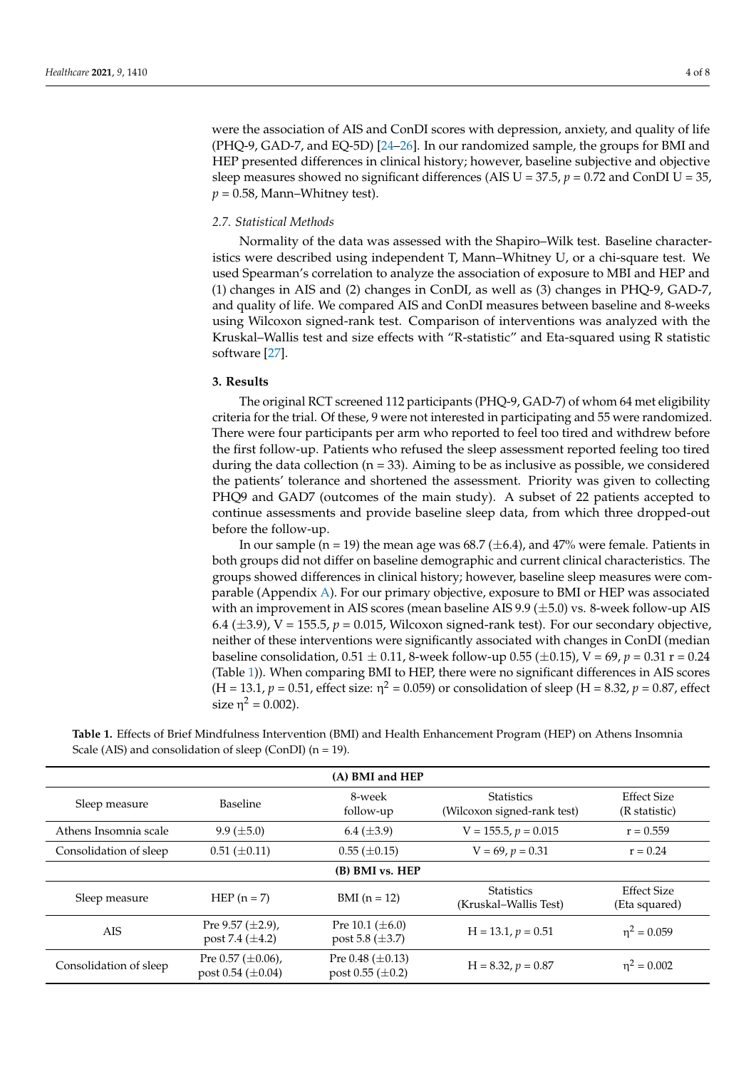were the association of AIS and ConDI scores with depression, anxiety, and quality of life (PHQ-9, GAD-7, and EQ-5D) [\[24](#page-8-10)[–26\]](#page-8-11). In our randomized sample, the groups for BMI and HEP presented differences in clinical history; however, baseline subjective and objective sleep measures showed no significant differences (AIS  $U = 37.5$ ,  $p = 0.72$  and ConDI  $U = 35$ ,  $p = 0.58$ , Mann–Whitney test).

## *2.7. Statistical Methods*

Normality of the data was assessed with the Shapiro–Wilk test. Baseline characteristics were described using independent T, Mann–Whitney U, or a chi-square test. We used Spearman's correlation to analyze the association of exposure to MBI and HEP and (1) changes in AIS and (2) changes in ConDI, as well as (3) changes in PHQ-9, GAD-7, and quality of life. We compared AIS and ConDI measures between baseline and 8-weeks using Wilcoxon signed-rank test. Comparison of interventions was analyzed with the Kruskal–Wallis test and size effects with "R-statistic" and Eta-squared using R statistic software [\[27\]](#page-8-12).

## **3. Results**

The original RCT screened 112 participants (PHQ-9, GAD-7) of whom 64 met eligibility criteria for the trial. Of these, 9 were not interested in participating and 55 were randomized. There were four participants per arm who reported to feel too tired and withdrew before the first follow-up. Patients who refused the sleep assessment reported feeling too tired during the data collection ( $n = 33$ ). Aiming to be as inclusive as possible, we considered the patients' tolerance and shortened the assessment. Priority was given to collecting PHQ9 and GAD7 (outcomes of the main study). A subset of 22 patients accepted to continue assessments and provide baseline sleep data, from which three dropped-out before the follow-up.

In our sample ( $n = 19$ ) the mean age was 68.7 ( $\pm$ 6.4), and 47% were female. Patients in both groups did not differ on baseline demographic and current clinical characteristics. The groups showed differences in clinical history; however, baseline sleep measures were comparable (Appendix [A\)](#page-6-0). For our primary objective, exposure to BMI or HEP was associated with an improvement in AIS scores (mean baseline AIS 9.9  $(\pm 5.0)$  vs. 8-week follow-up AIS 6.4  $(\pm 3.9)$ , V = 155.5,  $p = 0.015$ , Wilcoxon signed-rank test). For our secondary objective, neither of these interventions were significantly associated with changes in ConDI (median baseline consolidation,  $0.51 \pm 0.11$ , 8-week follow-up  $0.55 \, (\pm 0.15)$ ,  $V = 69$ ,  $p = 0.31$  r = 0.24 (Table [1\)](#page-4-0)). When comparing BMI to HEP, there were no significant differences in AIS scores  $(H = 13.1, p = 0.51,$  effect size:  $η<sup>2</sup> = 0.059$ ) or consolidation of sleep  $(H = 8.32, p = 0.87,$  effect size  $η^2 = 0.002$ ).

| (A) BMI and HEP        |                                                     |                                                  |                                                  |                                     |  |  |
|------------------------|-----------------------------------------------------|--------------------------------------------------|--------------------------------------------------|-------------------------------------|--|--|
| Sleep measure          | <b>Baseline</b>                                     | 8-week<br>follow-up                              | <b>Statistics</b><br>(Wilcoxon signed-rank test) | <b>Effect Size</b><br>(R statistic) |  |  |
| Athens Insomnia scale  | $9.9 \ (\pm 5.0)$                                   | $6.4 \ (\pm 3.9)$                                | $V = 155.5, p = 0.015$                           | $r = 0.559$                         |  |  |
| Consolidation of sleep | $0.51 \ (\pm 0.11)$                                 | $0.55 \ (\pm 0.15)$                              | $V = 69, p = 0.31$                               | $r = 0.24$                          |  |  |
| (B) BMI vs. HEP        |                                                     |                                                  |                                                  |                                     |  |  |
| Sleep measure          | HEP $(n = 7)$                                       | $BMI(n = 12)$                                    | <b>Statistics</b><br>(Kruskal–Wallis Test)       | <b>Effect Size</b><br>(Eta squared) |  |  |
| AIS                    | Pre $9.57 \ (\pm 2.9)$ ,<br>post 7.4 $(\pm 4.2)$    | Pre 10.1 $(\pm 6.0)$<br>post 5.8 $(\pm 3.7)$     | $H = 13.1, p = 0.51$                             | $\eta^2 = 0.059$                    |  |  |
| Consolidation of sleep | Pre $0.57 (\pm 0.06)$ ,<br>post $0.54 \ (\pm 0.04)$ | Pre 0.48 $(\pm 0.13)$<br>post $0.55 \ (\pm 0.2)$ | $H = 8.32, p = 0.87$                             | $\eta^2 = 0.002$                    |  |  |

<span id="page-4-0"></span>**Table 1.** Effects of Brief Mindfulness Intervention (BMI) and Health Enhancement Program (HEP) on Athens Insomnia Scale (AIS) and consolidation of sleep (ConDI)  $(n = 19)$ .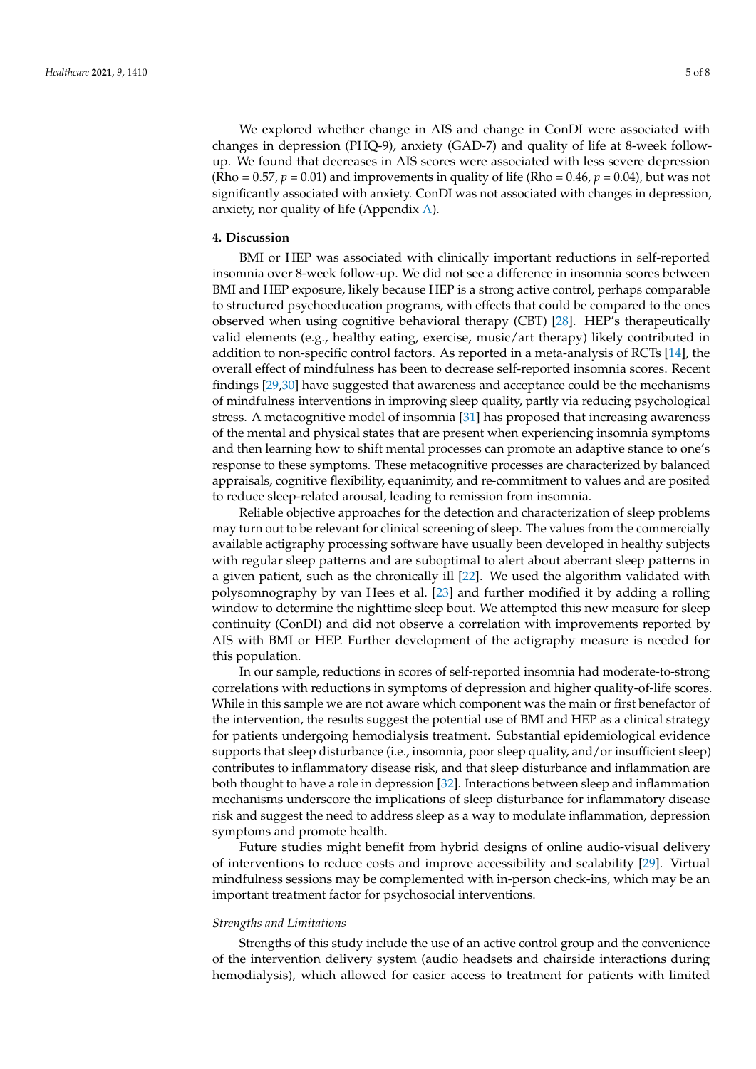We explored whether change in AIS and change in ConDI were associated with changes in depression (PHQ-9), anxiety (GAD-7) and quality of life at 8-week followup. We found that decreases in AIS scores were associated with less severe depression (Rho =  $0.57$ ,  $p = 0.01$ ) and improvements in quality of life (Rho =  $0.46$ ,  $p = 0.04$ ), but was not significantly associated with anxiety. ConDI was not associated with changes in depression, anxiety, nor quality of life (Appendix [A\)](#page-6-0).

#### **4. Discussion**

BMI or HEP was associated with clinically important reductions in self-reported insomnia over 8-week follow-up. We did not see a difference in insomnia scores between BMI and HEP exposure, likely because HEP is a strong active control, perhaps comparable to structured psychoeducation programs, with effects that could be compared to the ones observed when using cognitive behavioral therapy (CBT) [\[28\]](#page-8-13). HEP's therapeutically valid elements (e.g., healthy eating, exercise, music/art therapy) likely contributed in addition to non-specific control factors. As reported in a meta-analysis of RCTs [\[14\]](#page-8-2), the overall effect of mindfulness has been to decrease self-reported insomnia scores. Recent findings [\[29,](#page-8-14)[30\]](#page-8-15) have suggested that awareness and acceptance could be the mechanisms of mindfulness interventions in improving sleep quality, partly via reducing psychological stress. A metacognitive model of insomnia [\[31\]](#page-8-16) has proposed that increasing awareness of the mental and physical states that are present when experiencing insomnia symptoms and then learning how to shift mental processes can promote an adaptive stance to one's response to these symptoms. These metacognitive processes are characterized by balanced appraisals, cognitive flexibility, equanimity, and re-commitment to values and are posited to reduce sleep-related arousal, leading to remission from insomnia.

Reliable objective approaches for the detection and characterization of sleep problems may turn out to be relevant for clinical screening of sleep. The values from the commercially available actigraphy processing software have usually been developed in healthy subjects with regular sleep patterns and are suboptimal to alert about aberrant sleep patterns in a given patient, such as the chronically ill [\[22\]](#page-8-8). We used the algorithm validated with polysomnography by van Hees et al. [\[23\]](#page-8-9) and further modified it by adding a rolling window to determine the nighttime sleep bout. We attempted this new measure for sleep continuity (ConDI) and did not observe a correlation with improvements reported by AIS with BMI or HEP. Further development of the actigraphy measure is needed for this population.

In our sample, reductions in scores of self-reported insomnia had moderate-to-strong correlations with reductions in symptoms of depression and higher quality-of-life scores. While in this sample we are not aware which component was the main or first benefactor of the intervention, the results suggest the potential use of BMI and HEP as a clinical strategy for patients undergoing hemodialysis treatment. Substantial epidemiological evidence supports that sleep disturbance (i.e., insomnia, poor sleep quality, and/or insufficient sleep) contributes to inflammatory disease risk, and that sleep disturbance and inflammation are both thought to have a role in depression [\[32\]](#page-8-17). Interactions between sleep and inflammation mechanisms underscore the implications of sleep disturbance for inflammatory disease risk and suggest the need to address sleep as a way to modulate inflammation, depression symptoms and promote health.

Future studies might benefit from hybrid designs of online audio-visual delivery of interventions to reduce costs and improve accessibility and scalability [\[29\]](#page-8-14). Virtual mindfulness sessions may be complemented with in-person check-ins, which may be an important treatment factor for psychosocial interventions.

#### *Strengths and Limitations*

Strengths of this study include the use of an active control group and the convenience of the intervention delivery system (audio headsets and chairside interactions during hemodialysis), which allowed for easier access to treatment for patients with limited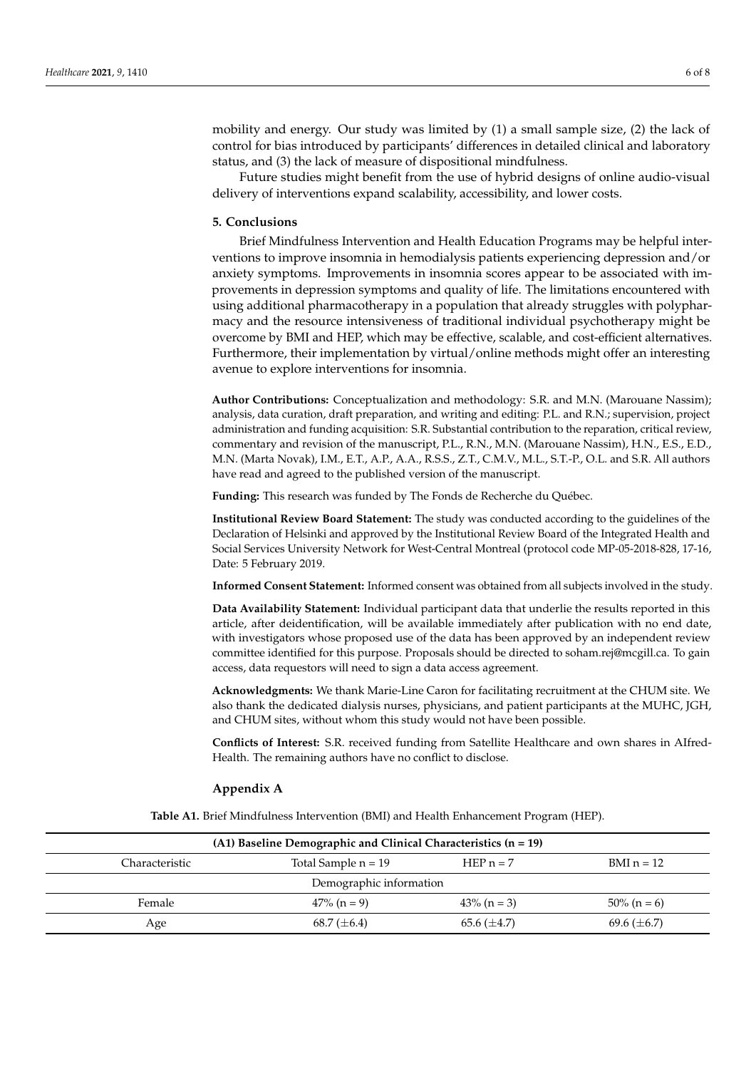mobility and energy. Our study was limited by (1) a small sample size, (2) the lack of control for bias introduced by participants' differences in detailed clinical and laboratory status, and (3) the lack of measure of dispositional mindfulness.

Future studies might benefit from the use of hybrid designs of online audio-visual delivery of interventions expand scalability, accessibility, and lower costs.

#### **5. Conclusions**

Brief Mindfulness Intervention and Health Education Programs may be helpful interventions to improve insomnia in hemodialysis patients experiencing depression and/or anxiety symptoms. Improvements in insomnia scores appear to be associated with improvements in depression symptoms and quality of life. The limitations encountered with using additional pharmacotherapy in a population that already struggles with polypharmacy and the resource intensiveness of traditional individual psychotherapy might be overcome by BMI and HEP, which may be effective, scalable, and cost-efficient alternatives. Furthermore, their implementation by virtual/online methods might offer an interesting avenue to explore interventions for insomnia.

**Author Contributions:** Conceptualization and methodology: S.R. and M.N. (Marouane Nassim); analysis, data curation, draft preparation, and writing and editing: P.L. and R.N.; supervision, project administration and funding acquisition: S.R. Substantial contribution to the reparation, critical review, commentary and revision of the manuscript, P.L., R.N., M.N. (Marouane Nassim), H.N., E.S., E.D., M.N. (Marta Novak), I.M., E.T., A.P., A.A., R.S.S., Z.T., C.M.V., M.L., S.T.-P., O.L. and S.R. All authors have read and agreed to the published version of the manuscript.

**Funding:** This research was funded by The Fonds de Recherche du Québec.

**Institutional Review Board Statement:** The study was conducted according to the guidelines of the Declaration of Helsinki and approved by the Institutional Review Board of the Integrated Health and Social Services University Network for West-Central Montreal (protocol code MP-05-2018-828, 17-16, Date: 5 February 2019.

**Informed Consent Statement:** Informed consent was obtained from all subjects involved in the study.

**Data Availability Statement:** Individual participant data that underlie the results reported in this article, after deidentification, will be available immediately after publication with no end date, with investigators whose proposed use of the data has been approved by an independent review committee identified for this purpose. Proposals should be directed to soham.rej@mcgill.ca. To gain access, data requestors will need to sign a data access agreement.

**Acknowledgments:** We thank Marie-Line Caron for facilitating recruitment at the CHUM site. We also thank the dedicated dialysis nurses, physicians, and patient participants at the MUHC, JGH, and CHUM sites, without whom this study would not have been possible.

**Conflicts of Interest:** S.R. received funding from Satellite Healthcare and own shares in AIfred-Health. The remaining authors have no conflict to disclose.

#### <span id="page-6-0"></span>**Appendix A**

**Table A1.** Brief Mindfulness Intervention (BMI) and Health Enhancement Program (HEP).

| $(A1)$ Baseline Demographic and Clinical Characteristics $(n = 19)$ |                       |                  |                  |  |  |
|---------------------------------------------------------------------|-----------------------|------------------|------------------|--|--|
| Characteristic                                                      | Total Sample $n = 19$ | HEP $n = 7$      | BMI $n = 12$     |  |  |
| Demographic information                                             |                       |                  |                  |  |  |
| Female                                                              | $47\%$ (n = 9)        | $43\%$ (n = 3)   | $50\%$ (n = 6)   |  |  |
| Age                                                                 | 68.7 $(\pm 6.4)$      | 65.6 $(\pm 4.7)$ | 69.6 $(\pm 6.7)$ |  |  |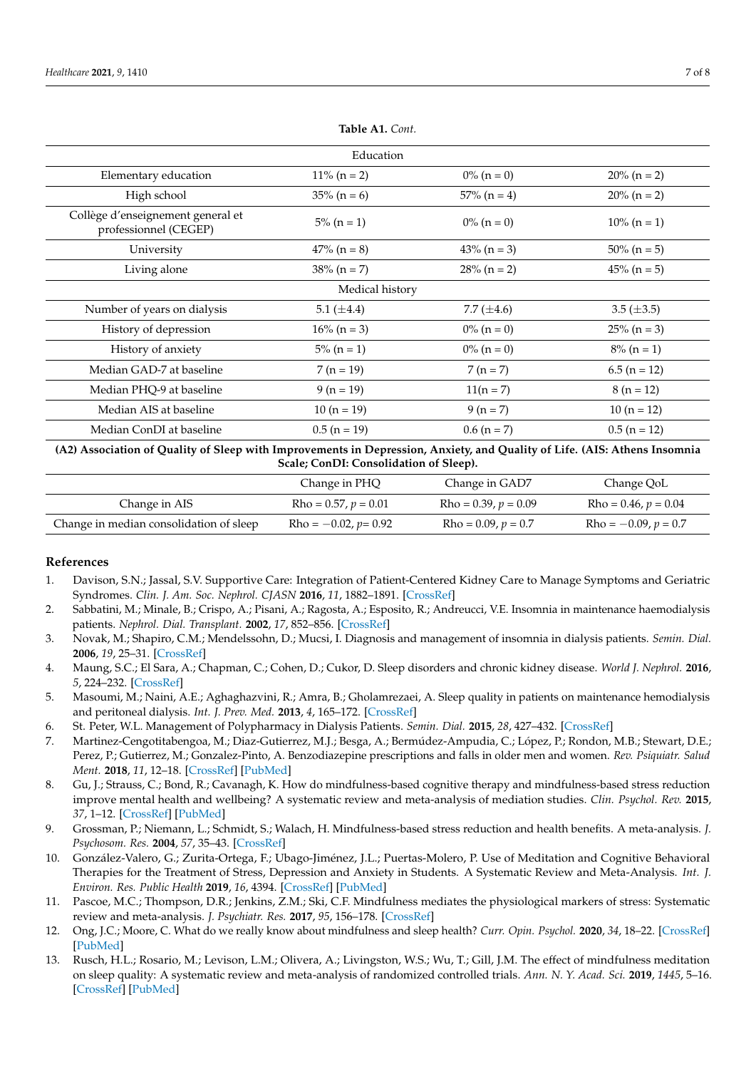| Education                                                  |                 |                 |                   |  |  |  |
|------------------------------------------------------------|-----------------|-----------------|-------------------|--|--|--|
| Elementary education                                       | $11\% (n = 2)$  | $0\%$ (n = 0)   | $20\% (n = 2)$    |  |  |  |
| High school                                                | $35\% (n = 6)$  | $57\%$ (n = 4)  | $20\%$ (n = 2)    |  |  |  |
| Collège d'enseignement general et<br>professionnel (CEGEP) | $5\%$ (n = 1)   | $0\%$ (n = 0)   | $10\%$ (n = 1)    |  |  |  |
| University                                                 | $47\%$ (n = 8)  | $43\% (n = 3)$  | $50\% (n = 5)$    |  |  |  |
| Living alone                                               | $38\% (n = 7)$  | $28\%$ (n = 2)  | $45\%$ (n = 5)    |  |  |  |
| Medical history                                            |                 |                 |                   |  |  |  |
| Number of years on dialysis                                | 5.1 $(\pm 4.4)$ | 7.7 $(\pm 4.6)$ | $3.5 \ (\pm 3.5)$ |  |  |  |
| History of depression                                      | $16\% (n = 3)$  | $0\%$ (n = 0)   | $25\%$ (n = 3)    |  |  |  |
| History of anxiety                                         | $5\%$ (n = 1)   | $0\%$ (n = 0)   | $8\%$ (n = 1)     |  |  |  |
| Median GAD-7 at baseline                                   | $7(n = 19)$     | $7(n=7)$        | $6.5$ (n = 12)    |  |  |  |
| Median PHQ-9 at baseline                                   | $9 (n = 19)$    | $11(n = 7)$     | $8(n = 12)$       |  |  |  |
| Median AIS at baseline                                     | $10 (n = 19)$   | $9(n=7)$        | $10(n = 12)$      |  |  |  |
| Median ConDI at baseline                                   | $0.5$ (n = 19)  | $0.6$ (n = 7)   | $0.5(n = 12)$     |  |  |  |

**Table A1.** *Cont.*

**(A2) Association of Quality of Sleep with Improvements in Depression, Anxiety, and Quality of Life. (AIS: Athens Insomnia Scale; ConDI: Consolidation of Sleep).**

|                                         | Change in PHQ           | Change in GAD7         | Change QoL             |
|-----------------------------------------|-------------------------|------------------------|------------------------|
| Change in AIS                           | $Rho = 0.57, p = 0.01$  | $Rho = 0.39, p = 0.09$ | $Rho = 0.46, p = 0.04$ |
| Change in median consolidation of sleep | $Rho = -0.02, p = 0.92$ | $Rho = 0.09, p = 0.7$  | $Rho = -0.09, p = 0.7$ |

## **References**

- <span id="page-7-0"></span>1. Davison, S.N.; Jassal, S.V. Supportive Care: Integration of Patient-Centered Kidney Care to Manage Symptoms and Geriatric Syndromes. *Clin. J. Am. Soc. Nephrol. CJASN* **2016**, *11*, 1882–1891. [\[CrossRef\]](http://doi.org/10.2215/CJN.01050116)
- <span id="page-7-1"></span>2. Sabbatini, M.; Minale, B.; Crispo, A.; Pisani, A.; Ragosta, A.; Esposito, R.; Andreucci, V.E. Insomnia in maintenance haemodialysis patients. *Nephrol. Dial. Transplant.* **2002**, *17*, 852–856. [\[CrossRef\]](http://doi.org/10.1093/ndt/17.5.852)
- <span id="page-7-2"></span>3. Novak, M.; Shapiro, C.M.; Mendelssohn, D.; Mucsi, I. Diagnosis and management of insomnia in dialysis patients. *Semin. Dial.* **2006**, *19*, 25–31. [\[CrossRef\]](http://doi.org/10.1111/j.1525-139X.2006.00116.x)
- <span id="page-7-3"></span>4. Maung, S.C.; El Sara, A.; Chapman, C.; Cohen, D.; Cukor, D. Sleep disorders and chronic kidney disease. *World J. Nephrol.* **2016**, *5*, 224–232. [\[CrossRef\]](http://doi.org/10.5527/wjn.v5.i3.224)
- <span id="page-7-4"></span>5. Masoumi, M.; Naini, A.E.; Aghaghazvini, R.; Amra, B.; Gholamrezaei, A. Sleep quality in patients on maintenance hemodialysis and peritoneal dialysis. *Int. J. Prev. Med.* **2013**, *4*, 165–172. [\[CrossRef\]](http://doi.org/10.1016/j.sleep.2015.02.181)
- <span id="page-7-5"></span>6. St. Peter, W.L. Management of Polypharmacy in Dialysis Patients. *Semin. Dial.* **2015**, *28*, 427–432. [\[CrossRef\]](http://doi.org/10.1111/sdi.12377)
- <span id="page-7-6"></span>7. Martinez-Cengotitabengoa, M.; Diaz-Gutierrez, M.J.; Besga, A.; Bermúdez-Ampudia, C.; López, P.; Rondon, M.B.; Stewart, D.E.; Perez, P.; Gutierrez, M.; Gonzalez-Pinto, A. Benzodiazepine prescriptions and falls in older men and women. *Rev. Psiquiatr. Salud Ment.* **2018**, *11*, 12–18. [\[CrossRef\]](http://doi.org/10.1016/j.rpsm.2017.01.004) [\[PubMed\]](http://www.ncbi.nlm.nih.gov/pubmed/28259477)
- <span id="page-7-7"></span>8. Gu, J.; Strauss, C.; Bond, R.; Cavanagh, K. How do mindfulness-based cognitive therapy and mindfulness-based stress reduction improve mental health and wellbeing? A systematic review and meta-analysis of mediation studies. *Clin. Psychol. Rev.* **2015**, *37*, 1–12. [\[CrossRef\]](http://doi.org/10.1016/j.cpr.2015.01.006) [\[PubMed\]](http://www.ncbi.nlm.nih.gov/pubmed/25689576)
- 9. Grossman, P.; Niemann, L.; Schmidt, S.; Walach, H. Mindfulness-based stress reduction and health benefits. A meta-analysis. *J. Psychosom. Res.* **2004**, *57*, 35–43. [\[CrossRef\]](http://doi.org/10.1016/S0022-3999(03)00573-7)
- 10. González-Valero, G.; Zurita-Ortega, F.; Ubago-Jiménez, J.L.; Puertas-Molero, P. Use of Meditation and Cognitive Behavioral Therapies for the Treatment of Stress, Depression and Anxiety in Students. A Systematic Review and Meta-Analysis. *Int. J. Environ. Res. Public Health* **2019**, *16*, 4394. [\[CrossRef\]](http://doi.org/10.3390/ijerph16224394) [\[PubMed\]](http://www.ncbi.nlm.nih.gov/pubmed/31717682)
- 11. Pascoe, M.C.; Thompson, D.R.; Jenkins, Z.M.; Ski, C.F. Mindfulness mediates the physiological markers of stress: Systematic review and meta-analysis. *J. Psychiatr. Res.* **2017**, *95*, 156–178. [\[CrossRef\]](http://doi.org/10.1016/j.jpsychires.2017.08.004)
- <span id="page-7-8"></span>12. Ong, J.C.; Moore, C. What do we really know about mindfulness and sleep health? *Curr. Opin. Psychol.* **2020**, *34*, 18–22. [\[CrossRef\]](http://doi.org/10.1016/j.copsyc.2019.08.020) [\[PubMed\]](http://www.ncbi.nlm.nih.gov/pubmed/31539830)
- <span id="page-7-9"></span>13. Rusch, H.L.; Rosario, M.; Levison, L.M.; Olivera, A.; Livingston, W.S.; Wu, T.; Gill, J.M. The effect of mindfulness meditation on sleep quality: A systematic review and meta-analysis of randomized controlled trials. *Ann. N. Y. Acad. Sci.* **2019**, *1445*, 5–16. [\[CrossRef\]](http://doi.org/10.1111/nyas.13996) [\[PubMed\]](http://www.ncbi.nlm.nih.gov/pubmed/30575050)